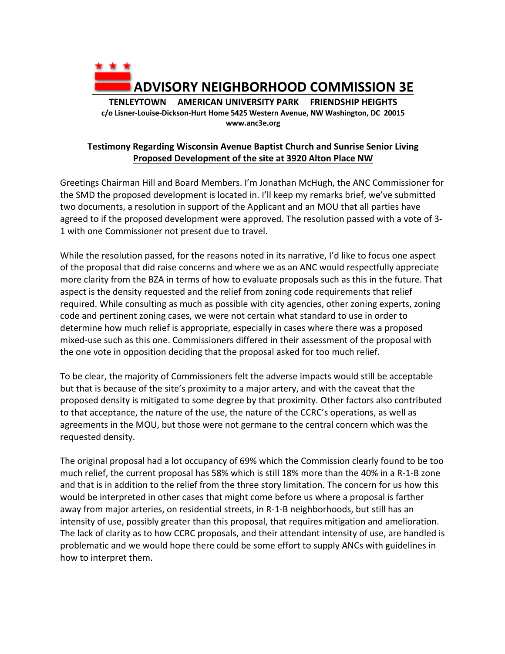

## **Testimony Regarding Wisconsin Avenue Baptist Church and Sunrise Senior Living Proposed Development of the site at 3920 Alton Place NW**

Greetings Chairman Hill and Board Members. I'm Jonathan McHugh, the ANC Commissioner for the SMD the proposed development is located in. I'll keep my remarks brief, we've submitted two documents, a resolution in support of the Applicant and an MOU that all parties have agreed to if the proposed development were approved. The resolution passed with a vote of 3- 1 with one Commissioner not present due to travel.

While the resolution passed, for the reasons noted in its narrative, I'd like to focus one aspect of the proposal that did raise concerns and where we as an ANC would respectfully appreciate more clarity from the BZA in terms of how to evaluate proposals such as this in the future. That aspect is the density requested and the relief from zoning code requirements that relief required. While consulting as much as possible with city agencies, other zoning experts, zoning code and pertinent zoning cases, we were not certain what standard to use in order to determine how much relief is appropriate, especially in cases where there was a proposed mixed-use such as this one. Commissioners differed in their assessment of the proposal with the one vote in opposition deciding that the proposal asked for too much relief.

To be clear, the majority of Commissioners felt the adverse impacts would still be acceptable but that is because of the site's proximity to a major artery, and with the caveat that the proposed density is mitigated to some degree by that proximity. Other factors also contributed to that acceptance, the nature of the use, the nature of the CCRC's operations, as well as agreements in the MOU, but those were not germane to the central concern which was the requested density.

The original proposal had a lot occupancy of 69% which the Commission clearly found to be too much relief, the current proposal has 58% which is still 18% more than the 40% in a R-1-B zone and that is in addition to the relief from the three story limitation. The concern for us how this would be interpreted in other cases that might come before us where a proposal is farther away from major arteries, on residential streets, in R-1-B neighborhoods, but still has an intensity of use, possibly greater than this proposal, that requires mitigation and amelioration. The lack of clarity as to how CCRC proposals, and their attendant intensity of use, are handled is problematic and we would hope there could be some effort to supply ANCs with guidelines in how to interpret them.